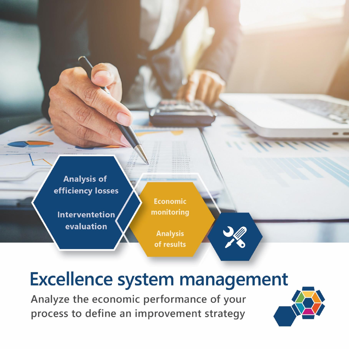

Interventetion evaluation

**Economic** monitoring

**Analysis** of results

# **Excellence system management**

Analyze the economic performance of your process to define an improvement strategy

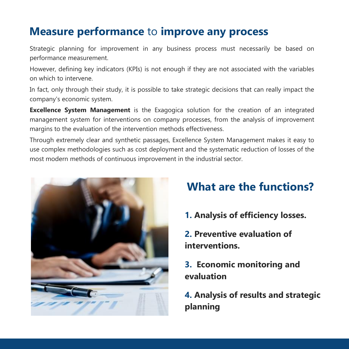### **Measure performance** to **improve any process**

Strategic planning for improvement in any business process must necessarily be based on performance measurement.

However, defining key indicators (KPIs) is not enough if they are not associated with the variables on which to intervene.

In fact, only through their study, it is possible to take strategic decisions that can really impact the company's economic system.

**Excellence System Management** is the Exagogica solution for the creation of an integrated management system for interventions on company processes, from the analysis of improvement margins to the evaluation of the intervention methods effectiveness.

Through extremely clear and synthetic passages, Excellence System Management makes it easy to use complex methodologies such as cost deployment and the systematic reduction of losses of the most modern methods of continuous improvement in the industrial sector.



### **What are the functions?**

**1. Analysis of efficiency losses.**

**2. Preventive evaluation of interventions.**

**3. Economic monitoring and evaluation**

**4. Analysis of results and strategic planning**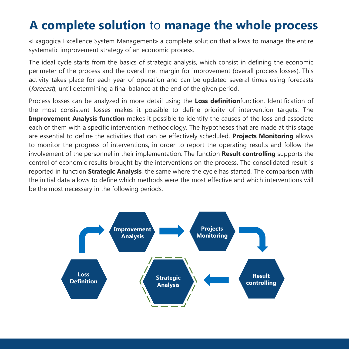### **A complete solution** to **manage the whole process**

«Exagogica Excellence System Management» a complete solution that allows to manage the entire systematic improvement strategy of an economic process.

The ideal cycle starts from the basics of strategic analysis, which consist in defining the economic perimeter of the process and the overall net margin for improvement (overall process losses). This activity takes place for each year of operation and can be updated several times using forecasts (forecast), until determining a final balance at the end of the given period.

Process losses can be analyzed in more detail using the **Loss definition**function. Identification of the most consistent losses makes it possible to define priority of intervention targets. The **Improvement Analysis function** makes it possible to identify the causes of the loss and associate each of them with a specific intervention methodology. The hypotheses that are made at this stage are essential to define the activities that can be effectively scheduled. **Projects Monitoring** allows to monitor the progress of interventions, in order to report the operating results and follow the involvement of the personnel in their implementation. The function **Result controlling** supports the control of economic results brought by the interventions on the process. The consolidated result is reported in function **Strategic Analysis**, the same where the cycle has started. The comparison with the initial data allows to define which methods were the most effective and which interventions will be the most necessary in the following periods.

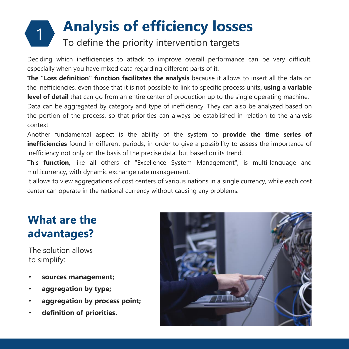### 1 **Analysis of efficiency losses** To define the priority intervention targets

Deciding which inefficiencies to attack to improve overall performance can be very difficult, especially when you have mixed data regarding different parts of it.

**The "Loss definition" function facilitates the analysis** because it allows to insert all the data on the inefficiencies, even those that it is not possible to link to specific process units**, using a variable level of detail** that can go from an entire center of production up to the single operating machine.

Data can be aggregated by category and type of inefficiency. They can also be analyzed based on the portion of the process, so that priorities can always be established in relation to the analysis context.

Another fundamental aspect is the ability of the system to **provide the time series of inefficiencies** found in different periods, in order to give a possibility to assess the importance of inefficiency not only on the basis of the precise data, but based on its trend.

This **function**, like all others of "Excellence System Management", is multi-language and multicurrency, with dynamic exchange rate management.

It allows to view aggregations of cost centers of various nations in a single currency, while each cost center can operate in the national currency without causing any problems.

### **What are the advantages?**

The solution allows to simplify:

- **sources management;**
- **aggregation by type;**
- **aggregation by process point;**
- **definition of priorities.**

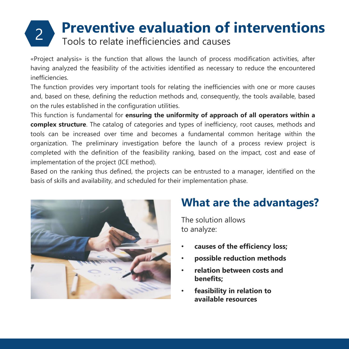# **Preventive evaluation of interventions**<br> **2** Tools to relate inefficiencies and causes

«Project analysis» is the function that allows the launch of process modification activities, after having analyzed the feasibility of the activities identified as necessary to reduce the encountered inefficiencies.

The function provides very important tools for relating the inefficiencies with one or more causes and, based on these, defining the reduction methods and, consequently, the tools available, based on the rules established in the configuration utilities.

This function is fundamental for **ensuring the uniformity of approach of all operators within a complex structure**. The catalog of categories and types of inefficiency, root causes, methods and tools can be increased over time and becomes a fundamental common heritage within the organization. The preliminary investigation before the launch of a process review project is completed with the definition of the feasibility ranking, based on the impact, cost and ease of implementation of the project (ICE method).

Based on the ranking thus defined, the projects can be entrusted to a manager, identified on the basis of skills and availability, and scheduled for their implementation phase.



### **What are the advantages?**

The solution allows to analyze:

- **causes of the efficiency loss;**
- **possible reduction methods**
- **relation between costs and benefits;**
- **feasibility in relation to available resources**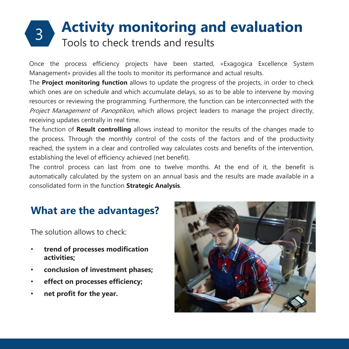### **Activity monitoring and evaluation** Tools to check trends and results

Once the process efficiency projects have been started, «Exagogica Excellence System Management» provides all the tools to monitor its performance and actual results.

The **Project monitoring function** allows to update the progress of the projects, in order to check which ones are on schedule and which accumulate delays, so as to be able to intervene by moving resources or reviewing the programming. Furthermore, the function can be interconnected with the Project Management of Panoptikon, which allows project leaders to manage the project directly, receiving updates centrally in real time.

The function of **Result controlling** allows instead to monitor the results of the changes made to the process. Through the monthly control of the costs of the factors and of the productivity reached, the system in a clear and controlled way calculates costs and benefits of the intervention, establishing the level of efficiency achieved (net benefit).

The control process can last from one to twelve months. At the end of it, the benefit is automatically calculated by the system on an annual basis and the results are made available in a consolidated form in the function **Strategic Analysis**.

### **What are the advantages?**

The solution allows to check:

- **trend of processes modification activities;**
- **conclusion of investment phases;**
- **effect on processes efficiency;**
- **net profit for the year.**

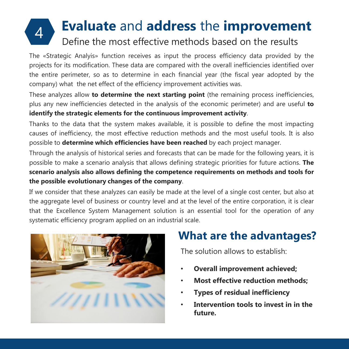### **Evaluate** and **address** the **improvement** 4 Define the most effective methods based on the results

The «Strategic Analyis» function receives as input the process efficiency data provided by the projects for its modification. These data are compared with the overall inefficiencies identified over the entire perimeter, so as to determine in each financial year (the fiscal year adopted by the company) what the net effect of the efficiency improvement activities was.

These analyzes allow **to determine the next starting point** (the remaining process inefficiencies, plus any new inefficiencies detected in the analysis of the economic perimeter) and are useful **to identify the strategic elements for the continuous improvement activity**.

Thanks to the data that the system makes available, it is possible to define the most impacting causes of inefficiency, the most effective reduction methods and the most useful tools. It is also possible to **determine which efficiencies have been reached** by each project manager.

Through the analysis of historical series and forecasts that can be made for the following years, it is possible to make a scenario analysis that allows defining strategic priorities for future actions. **The scenario analysis also allows defining the competence requirements on methods and tools for the possible evolutionary changes of the company**.

If we consider that these analyzes can easily be made at the level of a single cost center, but also at the aggregate level of business or country level and at the level of the entire corporation, it is clear that the Excellence System Management solution is an essential tool for the operation of any systematic efficiency program applied on an industrial scale.



### **What are the advantages?**

The solution allows to establish:

- **Overall improvement achieved;**
- **Most effective reduction methods;**
- **Types of residual inefficiency**
- **Intervention tools to invest in in the future.**